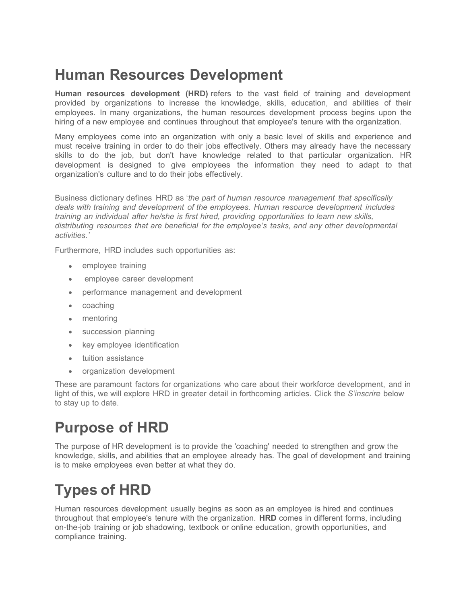## **Human Resources Development**

**Human resources development (HRD)** refers to the vast field of training and development provided by organizations to increase the knowledge, skills, education, and abilities of their employees. In many organizations, the human resources development process begins upon the hiring of a new employee and continues throughout that employee's tenure with the organization.

Many employees come into an organization with only a basic level of skills and experience and must receive training in order to do their jobs effectively. Others may already have the necessary skills to do the job, but don't have knowledge related to that particular organization. HR development is designed to give employees the information they need to adapt to that organization's culture and to do their jobs effectively.

Business dictionary defines HRD as '*the part of human resource management that specifically deals with training and development of the employees. Human resource development includes training an individual after he/she is first hired, providing opportunities to learn new skills, distributing resources that are beneficial for the employee's tasks, and any other developmental activities.'*

Furthermore, HRD includes such opportunities as:

- employee training
- employee career development
- performance management and development
- coaching
- mentoring
- succession planning
- key employee identification
- tuition assistance
- organization development

These are paramount factors for organizations who care about their workforce development, and in light of this, we will explore HRD in greater detail in forthcoming articles. Click the *S'inscrire* below to stay up to date.

## **Purpose of HRD**

The purpose of HR development is to provide the 'coaching' needed to strengthen and grow the knowledge, skills, and abilities that an employee already has. The goal of development and training is to make employees even better at what they do.

## **Types of HRD**

Human resources development usually begins as soon as an employee is hired and continues throughout that employee's tenure with the organization. **HRD** comes in different forms, including on-the-job training or job shadowing, textbook or online education, growth opportunities, and compliance training.